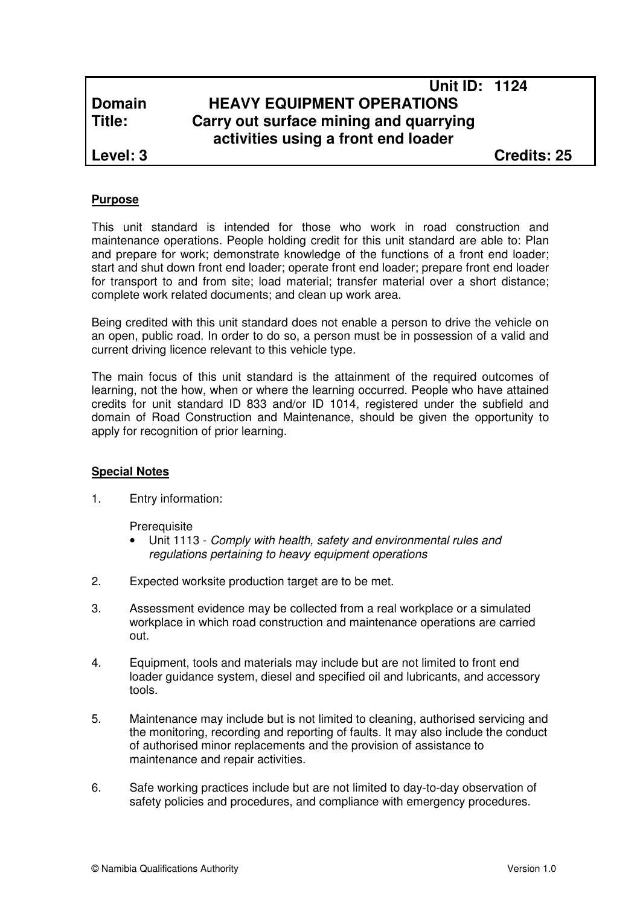# **Unit ID: 1124 Domain HEAVY EQUIPMENT OPERATIONS Title: Carry out surface mining and quarrying activities using a front end loader**

**Level: 3 Credits: 25**

# **Purpose**

This unit standard is intended for those who work in road construction and maintenance operations. People holding credit for this unit standard are able to: Plan and prepare for work; demonstrate knowledge of the functions of a front end loader; start and shut down front end loader; operate front end loader; prepare front end loader for transport to and from site; load material; transfer material over a short distance; complete work related documents; and clean up work area.

Being credited with this unit standard does not enable a person to drive the vehicle on an open, public road. In order to do so, a person must be in possession of a valid and current driving licence relevant to this vehicle type.

The main focus of this unit standard is the attainment of the required outcomes of learning, not the how, when or where the learning occurred. People who have attained credits for unit standard ID 833 and/or ID 1014, registered under the subfield and domain of Road Construction and Maintenance, should be given the opportunity to apply for recognition of prior learning.

# **Special Notes**

1. Entry information:

**Prerequisite** 

- Unit 1113 Comply with health, safety and environmental rules and regulations pertaining to heavy equipment operations
- 2. Expected worksite production target are to be met.
- 3. Assessment evidence may be collected from a real workplace or a simulated workplace in which road construction and maintenance operations are carried out.
- 4. Equipment, tools and materials may include but are not limited to front end loader guidance system, diesel and specified oil and lubricants, and accessory tools.
- 5. Maintenance may include but is not limited to cleaning, authorised servicing and the monitoring, recording and reporting of faults. It may also include the conduct of authorised minor replacements and the provision of assistance to maintenance and repair activities.
- 6. Safe working practices include but are not limited to day-to-day observation of safety policies and procedures, and compliance with emergency procedures.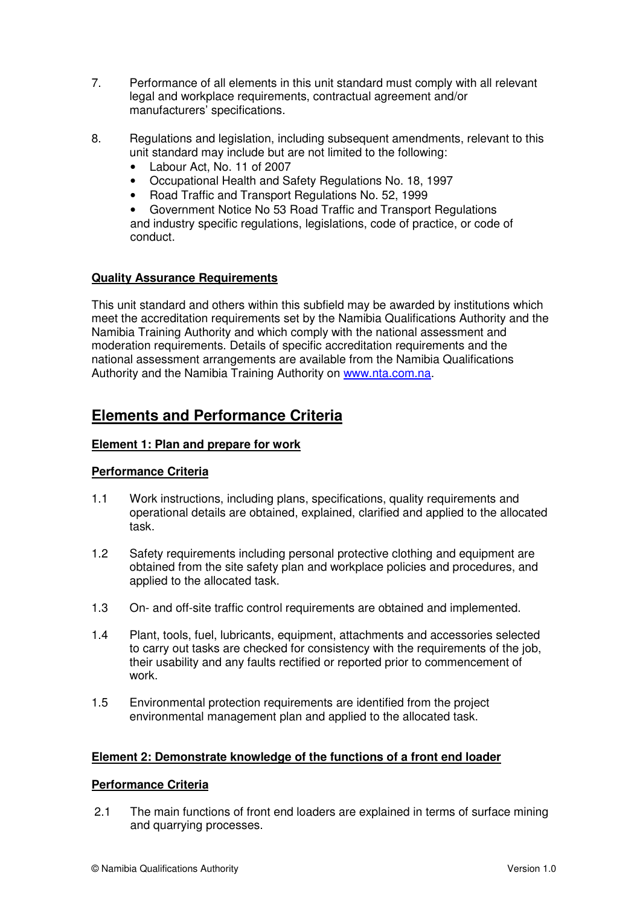- 7. Performance of all elements in this unit standard must comply with all relevant legal and workplace requirements, contractual agreement and/or manufacturers' specifications.
- 8. Regulations and legislation, including subsequent amendments, relevant to this unit standard may include but are not limited to the following:
	- Labour Act, No. 11 of 2007
	- Occupational Health and Safety Regulations No. 18, 1997
	- Road Traffic and Transport Regulations No. 52, 1999

• Government Notice No 53 Road Traffic and Transport Regulations and industry specific regulations, legislations, code of practice, or code of conduct.

# **Quality Assurance Requirements**

This unit standard and others within this subfield may be awarded by institutions which meet the accreditation requirements set by the Namibia Qualifications Authority and the Namibia Training Authority and which comply with the national assessment and moderation requirements. Details of specific accreditation requirements and the national assessment arrangements are available from the Namibia Qualifications Authority and the Namibia Training Authority on www.nta.com.na.

# **Elements and Performance Criteria**

# **Element 1: Plan and prepare for work**

# **Performance Criteria**

- 1.1 Work instructions, including plans, specifications, quality requirements and operational details are obtained, explained, clarified and applied to the allocated task.
- 1.2 Safety requirements including personal protective clothing and equipment are obtained from the site safety plan and workplace policies and procedures, and applied to the allocated task.
- 1.3 On- and off-site traffic control requirements are obtained and implemented.
- 1.4 Plant, tools, fuel, lubricants, equipment, attachments and accessories selected to carry out tasks are checked for consistency with the requirements of the job, their usability and any faults rectified or reported prior to commencement of work.
- 1.5 Environmental protection requirements are identified from the project environmental management plan and applied to the allocated task.

# **Element 2: Demonstrate knowledge of the functions of a front end loader**

# **Performance Criteria**

2.1 The main functions of front end loaders are explained in terms of surface mining and quarrying processes.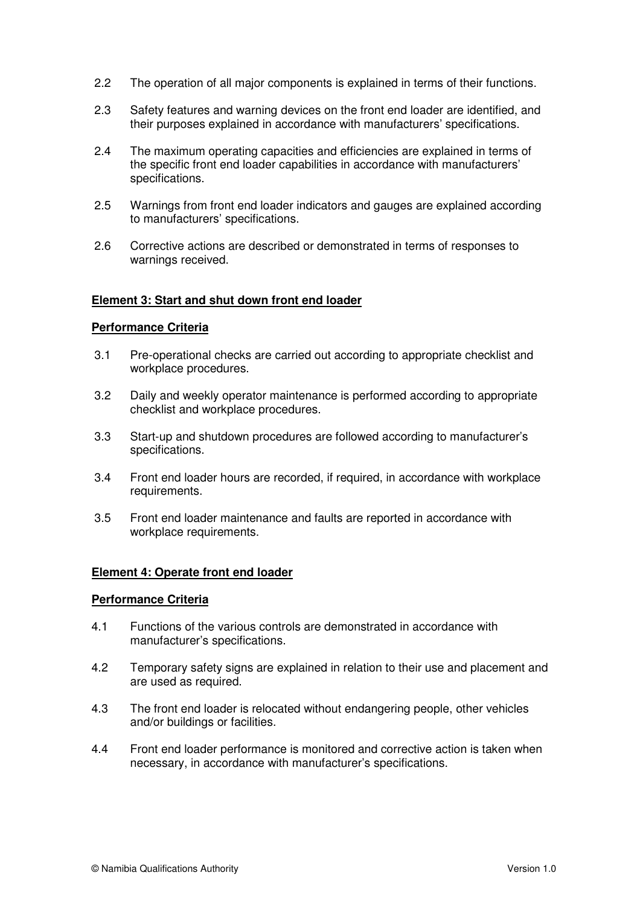- 2.2 The operation of all major components is explained in terms of their functions.
- 2.3 Safety features and warning devices on the front end loader are identified, and their purposes explained in accordance with manufacturers' specifications.
- 2.4 The maximum operating capacities and efficiencies are explained in terms of the specific front end loader capabilities in accordance with manufacturers' specifications.
- 2.5 Warnings from front end loader indicators and gauges are explained according to manufacturers' specifications.
- 2.6 Corrective actions are described or demonstrated in terms of responses to warnings received.

### **Element 3: Start and shut down front end loader**

### **Performance Criteria**

- 3.1 Pre-operational checks are carried out according to appropriate checklist and workplace procedures.
- 3.2 Daily and weekly operator maintenance is performed according to appropriate checklist and workplace procedures.
- 3.3 Start-up and shutdown procedures are followed according to manufacturer's specifications.
- 3.4 Front end loader hours are recorded, if required, in accordance with workplace requirements.
- 3.5 Front end loader maintenance and faults are reported in accordance with workplace requirements.

#### **Element 4: Operate front end loader**

#### **Performance Criteria**

- 4.1 Functions of the various controls are demonstrated in accordance with manufacturer's specifications.
- 4.2 Temporary safety signs are explained in relation to their use and placement and are used as required.
- 4.3 The front end loader is relocated without endangering people, other vehicles and/or buildings or facilities.
- 4.4 Front end loader performance is monitored and corrective action is taken when necessary, in accordance with manufacturer's specifications.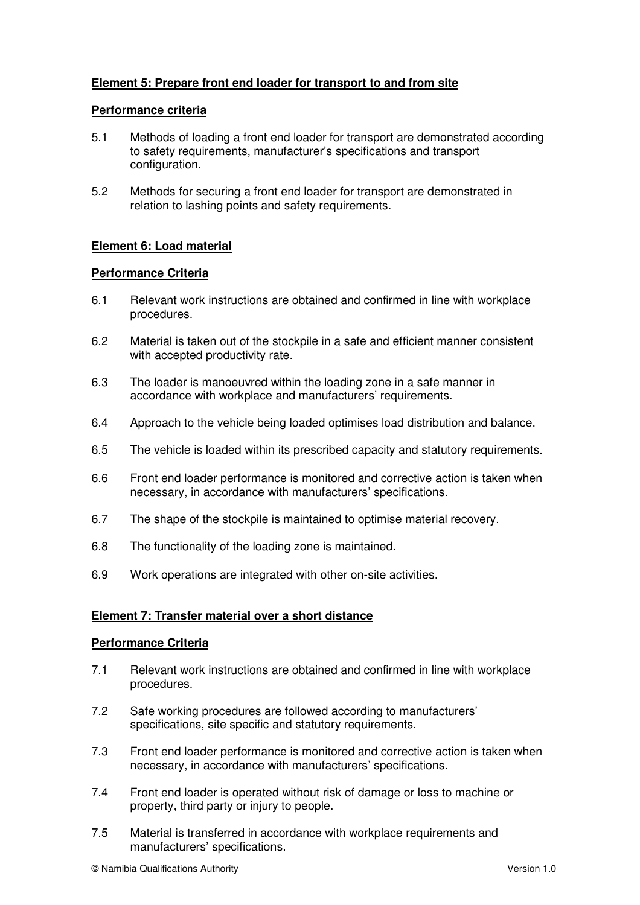# **Element 5: Prepare front end loader for transport to and from site**

# **Performance criteria**

- 5.1 Methods of loading a front end loader for transport are demonstrated according to safety requirements, manufacturer's specifications and transport configuration.
- 5.2 Methods for securing a front end loader for transport are demonstrated in relation to lashing points and safety requirements.

# **Element 6: Load material**

### **Performance Criteria**

- 6.1 Relevant work instructions are obtained and confirmed in line with workplace procedures.
- 6.2 Material is taken out of the stockpile in a safe and efficient manner consistent with accepted productivity rate.
- 6.3 The loader is manoeuvred within the loading zone in a safe manner in accordance with workplace and manufacturers' requirements.
- 6.4 Approach to the vehicle being loaded optimises load distribution and balance.
- 6.5 The vehicle is loaded within its prescribed capacity and statutory requirements.
- 6.6 Front end loader performance is monitored and corrective action is taken when necessary, in accordance with manufacturers' specifications.
- 6.7 The shape of the stockpile is maintained to optimise material recovery.
- 6.8 The functionality of the loading zone is maintained.
- 6.9 Work operations are integrated with other on-site activities.

# **Element 7: Transfer material over a short distance**

#### **Performance Criteria**

- 7.1 Relevant work instructions are obtained and confirmed in line with workplace procedures.
- 7.2 Safe working procedures are followed according to manufacturers' specifications, site specific and statutory requirements.
- 7.3 Front end loader performance is monitored and corrective action is taken when necessary, in accordance with manufacturers' specifications.
- 7.4 Front end loader is operated without risk of damage or loss to machine or property, third party or injury to people.
- 7.5 Material is transferred in accordance with workplace requirements and manufacturers' specifications.